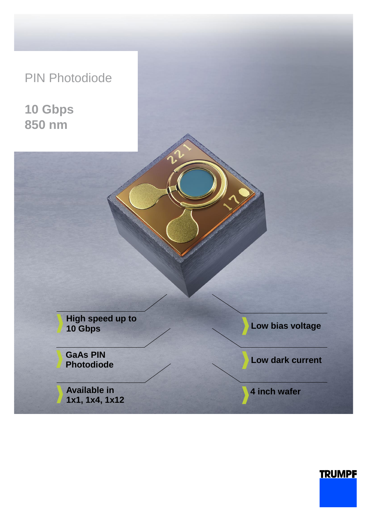PIN Photodiode

**10 Gbps 850 nm**

> **High speed up to 10 Gbps**

**GaAs PIN Photodiode**

**Available in 1x1, 1x4, 1x12** **Low bias voltage** 

**Low dark current**

**4 inch wafer**